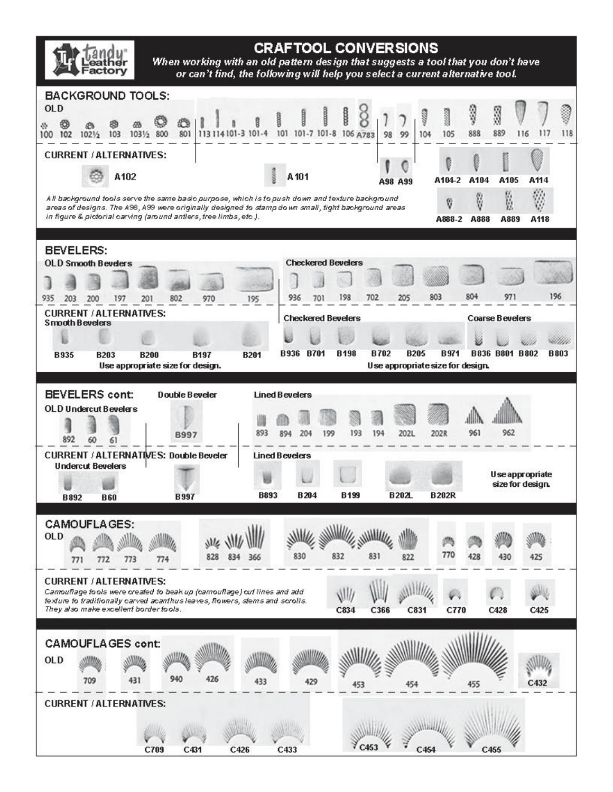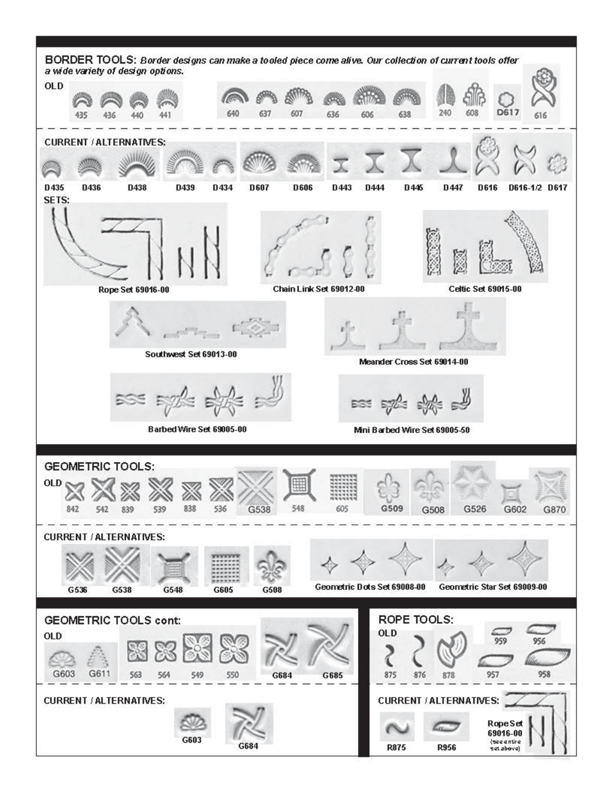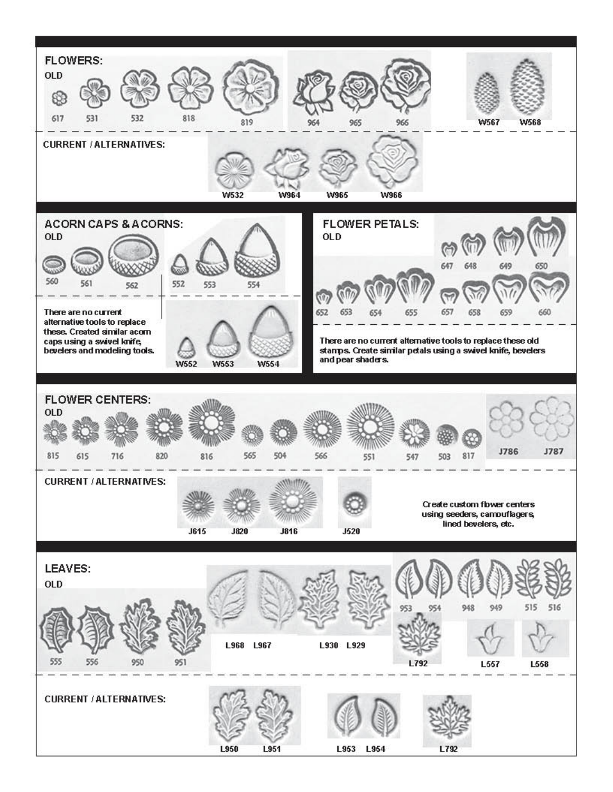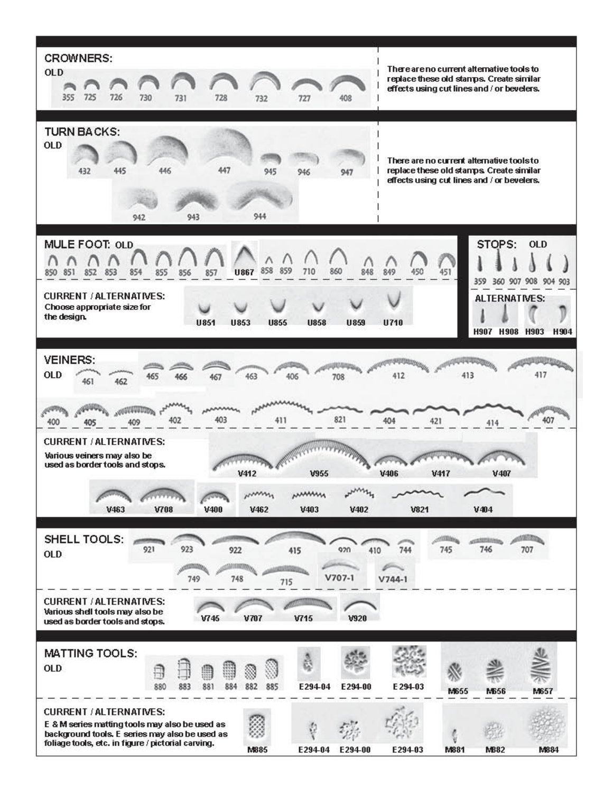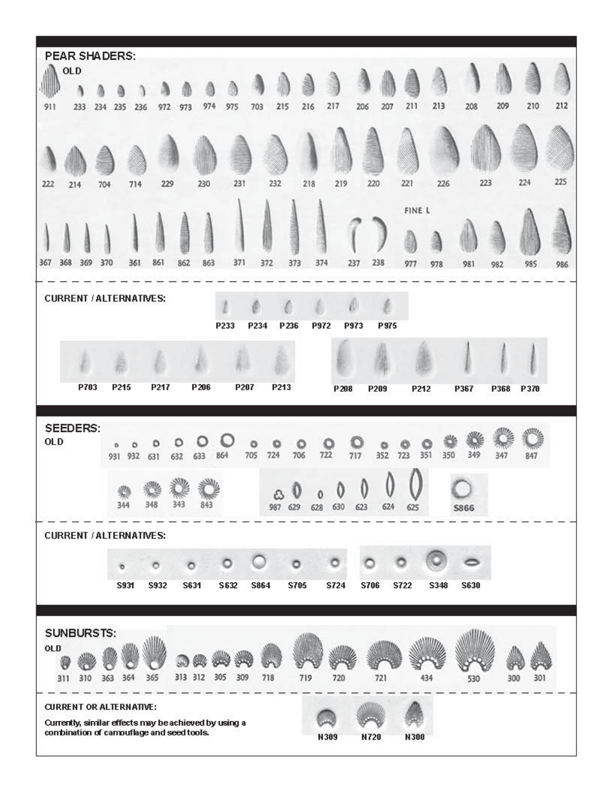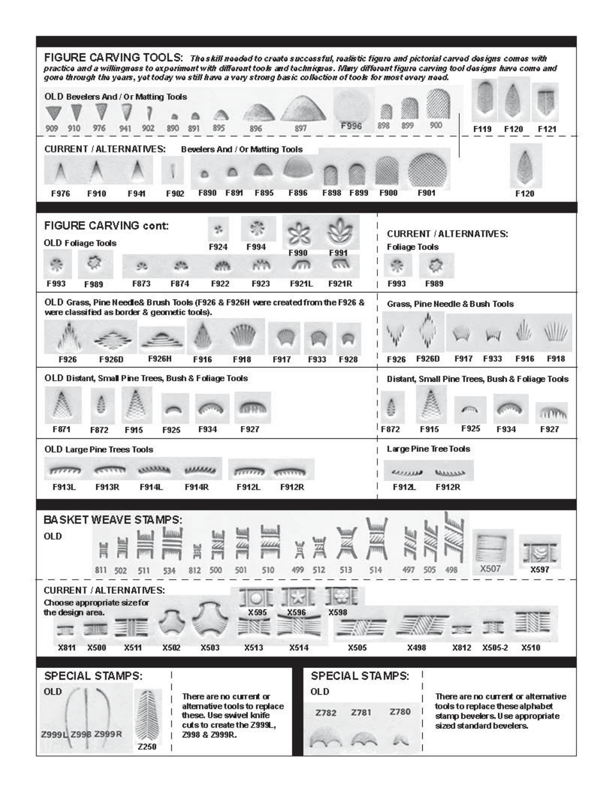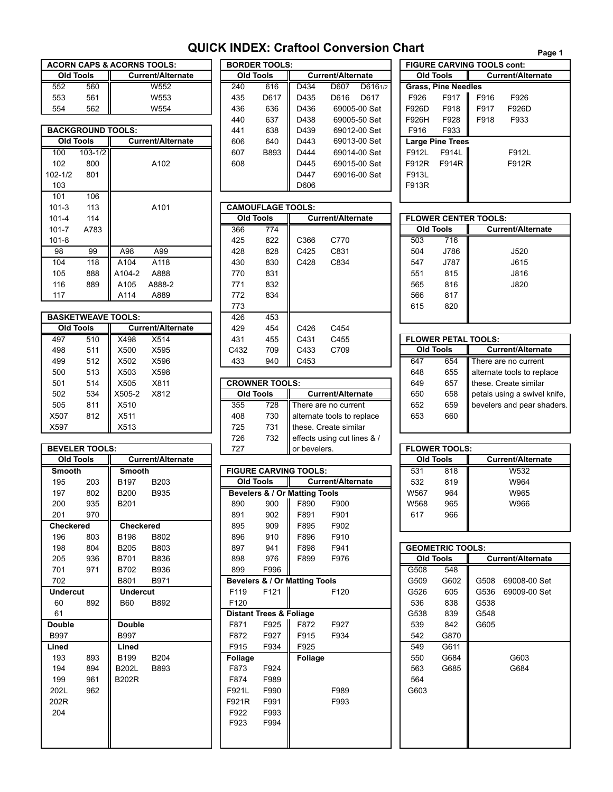## **QUICK INDEX: Craftool Conversion Chart**

| <b>ACORN CAPS &amp; ACORNS TOOLS:</b> |                  |                          |  |  |  |  |  |
|---------------------------------------|------------------|--------------------------|--|--|--|--|--|
|                                       | <b>Old Tools</b> | <b>Current/Alternate</b> |  |  |  |  |  |
| 552                                   | 560              | W552                     |  |  |  |  |  |
| 553                                   | 561              | W <sub>553</sub>         |  |  |  |  |  |
| 554                                   | 562              | W554                     |  |  |  |  |  |

|             |                          |                  |                          | ᠇᠇ᢦ | <b>vv</b>                | ◡╌   | 0000 00 OCL              | .                     | .                          |
|-------------|--------------------------|------------------|--------------------------|-----|--------------------------|------|--------------------------|-----------------------|----------------------------|
|             | <b>BACKGROUND TOOLS:</b> |                  |                          | 441 | 638                      | D439 | 69012-00 Set             | F916                  | F933                       |
|             | <b>Old Tools</b>         |                  | <b>Current/Alternate</b> | 606 | 640                      | D443 | 69013-00 Set             | <b>Large Pine Tre</b> |                            |
| 100         | $103 - 1/2$              |                  |                          | 607 | B893                     | D444 | 69014-00 Set             | F912L                 | F914L                      |
| 102         | 800                      |                  | A102                     | 608 |                          | D445 | 69015-00 Set             | F912R                 | F914F                      |
| $102 - 1/2$ | 801                      |                  |                          |     |                          | D447 | 69016-00 Set             | F913L                 |                            |
| 103         |                          |                  |                          |     |                          | D606 |                          | F913R                 |                            |
| 101         | 106                      |                  |                          |     |                          |      |                          |                       |                            |
| $101 - 3$   | 113                      |                  | A101                     |     | <b>CAMOUFLAGE TOOLS:</b> |      |                          |                       |                            |
|             |                          |                  |                          |     |                          |      |                          |                       |                            |
| $101 - 4$   | 114                      |                  |                          |     | <b>Old Tools</b>         |      | <b>Current/Alternate</b> | <b>FLOWER CENT</b>    |                            |
| $101 - 7$   | A783                     |                  |                          | 366 | 774                      |      |                          |                       | Old Tools                  |
| $101 - 8$   |                          |                  |                          | 425 | 822                      | C366 | C770                     | 503                   |                            |
| 98          | 99                       | A98              | A99                      | 428 | 828                      | C425 | C831                     | 504                   |                            |
| 104         | 118                      | A104             | A118                     | 430 | 830                      | C428 | C834                     | 547                   |                            |
| 105         | 888                      | A104-2           | A888                     | 770 | 831                      |      |                          | 551                   | 716<br>J786<br>J787<br>815 |
| 116         | 889                      | A <sub>105</sub> | A888-2                   | 771 | 832                      |      |                          | 565                   | 816                        |
| 117         |                          | A114             | A889                     | 772 | 834                      |      |                          | 566                   | 817                        |

|      |           |                           |                          |      |                       |      |                            | - - |           |     |                             |
|------|-----------|---------------------------|--------------------------|------|-----------------------|------|----------------------------|-----|-----------|-----|-----------------------------|
|      |           | <b>BASKETWEAVE TOOLS:</b> |                          | 426  | 453                   |      |                            |     |           |     |                             |
|      | Old Tools |                           | <b>Current/Alternate</b> | 429  | 454                   | C426 | C454                       |     |           |     |                             |
| 497  | 510       | X498                      | X514                     | 431  | 455                   | C431 | C455                       |     |           |     | <b>FLOWER PETAL TOOLS:</b>  |
| 498  | 511       | X500                      | X595                     | C432 | 709                   | C433 | C709                       |     | Old Tools |     | <b>Current/Alternate</b>    |
| 499  | 512       | X502                      | X596                     | 433  | 940                   | C453 |                            | 647 |           | 654 | There are no current        |
| 500  | 513       | X503                      | X598                     |      |                       |      |                            | 648 |           | 655 | alternate tools to replace  |
| 501  | 514       | X505                      | X811                     |      | <b>CROWNER TOOLS:</b> |      |                            | 649 |           | 657 | these. Create similar       |
| 502  | 534       | X505-2                    | X812                     |      | <b>Old Tools</b>      |      | <b>Current/Alternate</b>   | 650 |           | 658 | petals using a swivel knife |
| 505  | 811       | X510                      |                          | 355  | 728                   |      | There are no current       | 652 |           | 659 | bevelers and pear shader    |
| X507 | 812       | X511                      |                          | 408  | 730                   |      | alternate tools to replace | 653 |           | 660 |                             |
| X597 |           | X513                      |                          | 725  | 731                   |      | these. Create similar      |     |           |     |                             |
|      |           |                           |                          |      |                       |      |                            |     |           |     |                             |

| <b>BEVELER TOOLS:</b> |     |                  |                          | 727              |                                    | or bevelers.                             |                    |
|-----------------------|-----|------------------|--------------------------|------------------|------------------------------------|------------------------------------------|--------------------|
| <b>Old Tools</b>      |     |                  | <b>Current/Alternate</b> |                  |                                    |                                          |                    |
| <b>Smooth</b>         |     | <b>Smooth</b>    |                          |                  |                                    | <b>FIGURE CARVING TOOLS:</b>             |                    |
| 195                   | 203 | B <sub>197</sub> | B <sub>203</sub>         | <b>Old Tools</b> |                                    |                                          | <b>Current/Alt</b> |
| 197                   | 802 | <b>B200</b>      | <b>B935</b>              |                  |                                    | <b>Bevelers &amp; / Or Matting Tools</b> |                    |
| 200                   | 935 | B201             |                          | 890              | 900                                | F890                                     | F900               |
| 201                   | 970 |                  |                          | 891              | 902                                | F891                                     | F901               |
| <b>Checkered</b>      |     | <b>Checkered</b> |                          | 895              | 909                                | F895                                     | F902               |
| 196                   | 803 | B198             | B802                     | 896              | 910                                | F896                                     | F910               |
| 198                   | 804 | <b>B205</b>      | B803                     | 897              | 941                                | F898                                     | F941               |
| 205                   | 936 | B701             | <b>B836</b>              | 898              | 976                                | F899                                     | F976               |
| 701                   | 971 | B702             | <b>B936</b>              | 899              | F996                               |                                          |                    |
| 702                   |     | B801             | B971                     |                  |                                    | <b>Bevelers &amp; / Or Matting Tools</b> |                    |
| <b>Undercut</b>       |     | <b>Undercut</b>  |                          | F119             | F <sub>121</sub>                   |                                          | F120               |
| 60                    | 892 | <b>B60</b>       | B892                     | F <sub>120</sub> |                                    |                                          |                    |
| 61                    |     |                  |                          |                  | <b>Distant Trees &amp; Foliage</b> |                                          |                    |
| <b>Double</b>         |     | <b>Double</b>    |                          | F871             | F925                               | F872                                     | F927               |
| <b>B997</b>           |     | <b>B997</b>      |                          | F872             | F927                               | F915                                     | F934               |
| Lined                 |     | Lined            |                          | F915             | F934                               | F925                                     |                    |
| 193                   | 893 | B <sub>199</sub> | <b>B204</b>              | Foliage          |                                    | <b>Foliage</b>                           |                    |
| 194                   | 894 | <b>B202L</b>     | B893                     | F873             | F924                               |                                          |                    |
| 199                   | 961 | <b>B202R</b>     |                          | F874             | F989                               |                                          |                    |
| 202L                  | 962 |                  |                          | F921L            | F990                               |                                          | F989               |
| 202R                  |     |                  |                          | F921R            | F991                               |                                          | F993               |
| 204                   |     |                  |                          | F922             | F993                               |                                          |                    |
|                       |     |                  |                          | F923             | F994                               |                                          |                    |
|                       |     |                  |                          |                  |                                    |                                          |                    |
|                       |     |                  |                          |                  |                                    |                                          |                    |

|                  |                          | <b>ACORN CAPS &amp; ACORNS TOOLS:</b> |     | <b>BORDER TOOLS:</b> |      |                          |              |       | <b>FIGURE CARVING TOOLS cont:</b> |      |                     |
|------------------|--------------------------|---------------------------------------|-----|----------------------|------|--------------------------|--------------|-------|-----------------------------------|------|---------------------|
| Old Tools        |                          | <b>Current/Alternate</b>              |     | <b>Old Tools</b>     |      | <b>Current/Alternate</b> |              |       | <b>Old Tools</b>                  |      | <b>Current/Alte</b> |
| 552              | 560                      | W552                                  | 240 | 616                  | D434 | D607                     | D6161/2      |       | <b>Grass. Pine Needles</b>        |      |                     |
| 553              | 561                      | W553                                  | 435 | D617                 | D435 | D616                     | D617         | F926  | F917                              | F916 | F926                |
| 554              | 562                      | W554                                  | 436 | 636                  | D436 |                          | 69005-00 Set | F926D | F918                              | F917 | F926D               |
|                  |                          |                                       | 440 | 637                  | D438 |                          | 69005-50 Set | F926H | F928                              | F918 | F933                |
|                  | <b>BACKGROUND TOOLS:</b> |                                       | 441 | 638                  | D439 |                          | 69012-00 Set | F916  | F933                              |      |                     |
| <b>Old Tools</b> |                          | <b>Current/Alternate</b>              | 606 | 640                  | D443 |                          | 69013-00 Set |       | <b>Large Pine Trees</b>           |      |                     |
| 100              | $103 - 1/2$              |                                       | 607 | <b>B893</b>          | D444 |                          | 69014-00 Set | F912L | F914L                             |      | F912L               |
| 102              | 800                      | A102                                  | 608 |                      | D445 |                          | 69015-00 Set | F912R | F914R                             |      | F912R               |
| $102 - 1/2$      | 801                      |                                       |     |                      | D447 |                          | 69016-00 Set | F913L |                                   |      |                     |
| 103              |                          |                                       |     |                      | D606 |                          |              | F913R |                                   |      |                     |
|                  |                          |                                       |     |                      |      |                          |              |       |                                   |      |                     |

| $101 - 3$        | 113  |                           | A101                     |      | <b>CAMOUFLAGE TOOLS:</b> |                  |                          |                  |      |                             |
|------------------|------|---------------------------|--------------------------|------|--------------------------|------------------|--------------------------|------------------|------|-----------------------------|
| $101 - 4$        | 114  |                           |                          |      | <b>Old Tools</b>         |                  | <b>Current/Alternate</b> |                  |      | <b>FLOWER CENTER TOOLS:</b> |
| $101 - 7$        | A783 |                           |                          | 366  | 774                      |                  |                          | <b>Old Tools</b> |      | <b>Current/Alterna</b>      |
| $101 - 8$        |      |                           |                          | 425  | 822                      | C <sub>366</sub> | C770                     | 503              | 716  |                             |
| 98               | 99   | A98                       | A99                      | 428  | 828                      | C425             | C831                     | 504              | J786 | J520                        |
| 104              | 118  | A104                      | A118                     | 430  | 830                      | C428             | C834                     | 547              | J787 | J615                        |
| 105              | 888  | A104-2                    | A888                     | 770  | 831                      |                  |                          | 551              | 815  | J816                        |
| 116              | 889  | A105                      | A888-2                   | 771  | 832                      |                  |                          | 565              | 816  | J820                        |
| 117              |      | A114                      | A889                     | 772  | 834                      |                  |                          | 566              | 817  |                             |
|                  |      |                           |                          | 773  |                          |                  |                          | 615              | 820  |                             |
|                  |      | <b>BASKETWEAVE TOOLS:</b> |                          | 426  | 453                      |                  |                          |                  |      |                             |
| <b>Old Tools</b> |      |                           | <b>Current/Alternate</b> | 429  | 454                      | C426             | C454                     |                  |      |                             |
| 497              | 510  | X498                      | X514                     | 431  | 455                      | C431             | C455                     |                  |      | <b>FLOWER PETAL TOOLS:</b>  |
| 498              | 511  | X500                      | X595                     | C432 | 709                      | C433             | C709                     | <b>Old Tools</b> |      | Current/Alterna             |
| 499              | 512  | X502                      | X596                     | 433  | 940                      | C453             |                          | 647              | 654  | There are no current        |

| - T                   | <u>.</u> | ハンソン   | $\sim$ |     |                       |                             | ◡⊤◡ | °~                   | <u> Hanomalo looki lo Tobiaco</u> |
|-----------------------|----------|--------|--------|-----|-----------------------|-----------------------------|-----|----------------------|-----------------------------------|
| 501                   | 514      | X505   | X811   |     | <b>CROWNER TOOLS:</b> |                             | 649 | 657                  | Ithese. Create similar            |
| 502                   | 534      | X505-2 | X812   |     | Old Tools             | <b>Current/Alternate</b>    | 650 | 658                  | petals using a swivel knife,      |
| 505                   | 811      | X510   |        | 355 | 728                   | There are no current        | 652 | 659                  | bevelers and pear shaders.        |
| X507                  | 812      | X511   |        | 408 | 730                   | alternate tools to replace  | 653 | 660                  |                                   |
| X597                  |          | X513   |        | 725 | 731                   | If these. Create similar    |     |                      |                                   |
|                       |          |        |        | 726 | 732                   | effects using cut lines & / |     |                      |                                   |
| <b>BEVELER TOOLS:</b> |          |        |        | 727 |                       | or bevelers.                |     | <b>FLOWER TOOLS:</b> |                                   |
|                       |          |        |        |     |                       |                             |     |                      |                                   |

| <b>Smooth</b>    |     | <b>Smooth</b>    |             |                |                                    | <b>FIGURE CARVING TOOLS:</b>  |                          | 531              | 818                     |      | W532                     |
|------------------|-----|------------------|-------------|----------------|------------------------------------|-------------------------------|--------------------------|------------------|-------------------------|------|--------------------------|
| 195              | 203 | B197             | <b>B203</b> |                | <b>Old Tools</b>                   |                               | <b>Current/Alternate</b> | 532              | 819                     |      | W964                     |
| 197              | 802 | <b>B200</b>      | <b>B935</b> |                |                                    | Bevelers & / Or Matting Tools |                          | W567             | 964                     |      | W965                     |
| 200              | 935 | B201             |             | 890            | 900                                | F890                          | F900                     | W568             | 965                     |      | W966                     |
| 201              | 970 |                  |             | 891            | 902                                | F891                          | F901                     | 617              | 966                     |      |                          |
| <b>Checkered</b> |     | <b>Checkered</b> |             | 895            | 909                                | F895                          | F902                     |                  |                         |      |                          |
| 196              | 803 | <b>B198</b>      | B802        | 896            | 910                                | F896                          | F910                     |                  |                         |      |                          |
| 198              | 804 | <b>B205</b>      | B803        | 897            | 941                                | F898                          | F941                     |                  | <b>GEOMETRIC TOOLS:</b> |      |                          |
| 205              | 936 | <b>B701</b>      | <b>B836</b> | 898            | 976                                | F899                          | F976                     | <b>Old Tools</b> |                         |      | <b>Current/Alternate</b> |
| 701              | 971 | B702             | <b>B936</b> | 899            | F996                               |                               |                          | G508             | 548                     |      |                          |
| 702              |     | B801             | B971        |                |                                    | Bevelers & / Or Matting Tools |                          | G509             | G602                    | G508 | 69008-00 Set             |
| <b>Undercut</b>  |     | <b>Undercut</b>  |             | F119           | F121                               |                               | F120                     | G526             | 605                     | G536 | 69009-00 Set             |
| 60               | 892 | <b>B60</b>       | B892        | F120           |                                    |                               |                          | 536              | 838                     | G538 |                          |
| 61               |     |                  |             |                | <b>Distant Trees &amp; Foliage</b> |                               |                          | G538             | 839                     | G548 |                          |
| <b>Double</b>    |     | <b>Double</b>    |             | F871           | F925                               | F872                          | F927                     | 539              | 842                     | G605 |                          |
| <b>B997</b>      |     | <b>B997</b>      |             | F872           | F927                               | F915                          | F934                     | 542              | G870                    |      |                          |
| Lined            |     | Lined            |             | F915           | F934                               | F925                          |                          | 549              | G611                    |      |                          |
| 193              | 893 | B199             | <b>B204</b> | <b>Foliage</b> |                                    | Foliage                       |                          | 550              | G684                    |      | G603                     |
| 194              | 894 | <b>B202L</b>     | B893        | F873           | F924                               |                               |                          | 563              | G685                    |      | G684                     |
| 199              | 961 | <b>B202R</b>     |             | F874           | F989                               |                               |                          | 564              |                         |      |                          |
| 202L             | 962 |                  |             | F921L          | F990                               |                               | F989                     | G603             |                         |      |                          |
| 202R             |     |                  |             | F921R          | F991                               |                               | F993                     |                  |                         |      |                          |
| 204              |     |                  |             | F922           | F993                               |                               |                          |                  |                         |      |                          |
|                  |     |                  |             | F923           | F994                               |                               |                          |                  |                         |      |                          |
|                  |     |                  |             |                |                                    |                               |                          |                  |                         |      |                          |
|                  |     |                  |             |                |                                    |                               |                          |                  |                         |      |                          |

|       |                                   |      |                          | Page 1 |
|-------|-----------------------------------|------|--------------------------|--------|
|       | <b>FIGURE CARVING TOOLS cont:</b> |      |                          |        |
|       | <b>Old Tools</b>                  |      | <b>Current/Alternate</b> |        |
|       | <b>Grass, Pine Needles</b>        |      |                          |        |
| F926  | F917                              | F916 | F926                     |        |
| F926D | F918                              | F917 | F926D                    |        |
| F926H | F928                              | F918 | F933                     |        |
| F916  | F933                              |      |                          |        |
|       | <b>Large Pine Trees</b>           |      |                          |        |
| F912L | F914L                             |      | F912L                    |        |
| F912R | F914R                             |      | F912R                    |        |
| F913L |                                   |      |                          |        |
| F913R |                                   |      |                          |        |
|       |                                   |      |                          |        |

|     | <b>FLOWER CENTER TOOLS:</b> |                          |  |  |  |  |  |
|-----|-----------------------------|--------------------------|--|--|--|--|--|
|     | <b>Old Tools</b>            | <b>Current/Alternate</b> |  |  |  |  |  |
| 503 | 716                         |                          |  |  |  |  |  |
| 504 | J786                        | J520                     |  |  |  |  |  |
| 547 | J787                        | J615                     |  |  |  |  |  |
| 551 | 815                         | J816                     |  |  |  |  |  |
| 565 | 816                         | J820                     |  |  |  |  |  |
| 566 | 817                         |                          |  |  |  |  |  |
| 615 | 820                         |                          |  |  |  |  |  |
|     |                             |                          |  |  |  |  |  |

|     |           | <b>FLOWER PETAL TOOLS:</b>   |
|-----|-----------|------------------------------|
|     | Old Tools | <b>Current/Alternate</b>     |
| 647 | 654       | There are no current         |
| 648 | 655       | alternate tools to replace   |
| 649 | 657       | these. Create similar        |
| 650 | 658       | petals using a swivel knife, |
| 652 | 659       | bevelers and pear shaders.   |
| 653 | 660       |                              |
|     |           |                              |

|                  | <b>FLOWER TOOLS:</b> |                          |
|------------------|----------------------|--------------------------|
| <b>Old Tools</b> |                      | <b>Current/Alternate</b> |
| 531              | 818                  | W532                     |
| 532              | 819                  | W964                     |
| W567             | 964                  | W965                     |
| W568             | 965                  | W966                     |
| 617              | 966                  |                          |
|                  |                      |                          |

| <b>GEOMETRIC TOOLS:</b> |                  |      |                          |  |  |  |  |  |
|-------------------------|------------------|------|--------------------------|--|--|--|--|--|
|                         | <b>Old Tools</b> |      | <b>Current/Alternate</b> |  |  |  |  |  |
| G508                    | 548              |      |                          |  |  |  |  |  |
| G509                    | G602             | G508 | 69008-00 Set             |  |  |  |  |  |
| G526                    | 605              | G536 | 69009-00 Set             |  |  |  |  |  |
| 536                     | 838              | G538 |                          |  |  |  |  |  |
| G538                    | 839              | G548 |                          |  |  |  |  |  |
| 539                     | 842              | G605 |                          |  |  |  |  |  |
| 542                     | G870             |      |                          |  |  |  |  |  |
| 549                     | G611             |      |                          |  |  |  |  |  |
| 550                     | G684             |      | G603                     |  |  |  |  |  |
| 563                     | G685             |      | G684                     |  |  |  |  |  |
| 564                     |                  |      |                          |  |  |  |  |  |
| G603                    |                  |      |                          |  |  |  |  |  |
|                         |                  |      |                          |  |  |  |  |  |
|                         |                  |      |                          |  |  |  |  |  |
|                         |                  |      |                          |  |  |  |  |  |
|                         |                  |      |                          |  |  |  |  |  |
|                         |                  |      |                          |  |  |  |  |  |